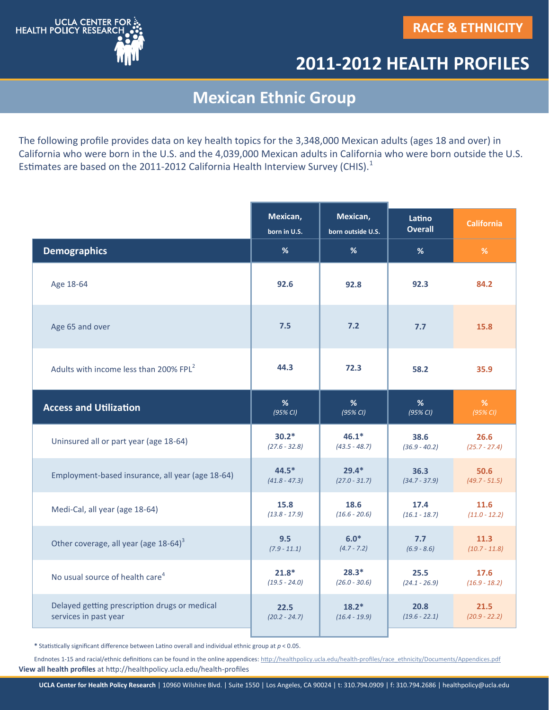

## **2011-2012 HEALTH PROFILES**

## **Mexican Ethnic Group**

The following profile provides data on key health topics for the 3,348,000 Mexican adults (ages 18 and over) in California who were born in the U.S. and the 4,039,000 Mexican adults in California who were born outside the U.S. Estimates are based on the 2011-2012 California Health Interview Survey (CHIS). $^1$ 

|                                                    | Mexican,<br>born in U.S. | Mexican,<br>born outside U.S. | Latino<br><b>Overall</b> | <b>California</b> |
|----------------------------------------------------|--------------------------|-------------------------------|--------------------------|-------------------|
| <b>Demographics</b>                                | %                        | %                             | %                        | %                 |
| Age 18-64                                          | 92.6                     | 92.8                          | 92.3                     | 84.2              |
| Age 65 and over                                    | 7.5                      | 7.2                           | 7.7                      | 15.8              |
| Adults with income less than 200% FPL <sup>2</sup> | 44.3                     | 72.3                          | 58.2                     | 35.9              |
| <b>Access and Utilization</b>                      | %                        | %                             | %                        | $\%$              |
|                                                    | (95% CI)                 | (95% CI)                      | (95% CI)                 | (95% CI)          |
| Uninsured all or part year (age 18-64)             | $30.2*$                  | $46.1*$                       | 38.6                     | 26.6              |
|                                                    | $(27.6 - 32.8)$          | $(43.5 - 48.7)$               | $(36.9 - 40.2)$          | $(25.7 - 27.4)$   |
| Employment-based insurance, all year (age 18-64)   | $44.5*$                  | $29.4*$                       | 36.3                     | 50.6              |
|                                                    | $(41.8 - 47.3)$          | $(27.0 - 31.7)$               | $(34.7 - 37.9)$          | $(49.7 - 51.5)$   |
| Medi-Cal, all year (age 18-64)                     | 15.8                     | 18.6                          | 17.4                     | 11.6              |
|                                                    | $(13.8 - 17.9)$          | $(16.6 - 20.6)$               | $(16.1 - 18.7)$          | $(11.0 - 12.2)$   |
| Other coverage, all year (age 18-64) <sup>3</sup>  | 9.5                      | $6.0*$                        | 7.7                      | 11.3              |
|                                                    | $(7.9 - 11.1)$           | $(4.7 - 7.2)$                 | $(6.9 - 8.6)$            | $(10.7 - 11.8)$   |
| No usual source of health care <sup>4</sup>        | $21.8*$                  | $28.3*$                       | 25.5                     | 17.6              |
|                                                    | $(19.5 - 24.0)$          | $(26.0 - 30.6)$               | $(24.1 - 26.9)$          | $(16.9 - 18.2)$   |
| Delayed getting prescription drugs or medical      | 22.5                     | $18.2*$                       | 20.8                     | 21.5              |
| services in past year                              | $(20.2 - 24.7)$          | $(16.4 - 19.9)$               | $(19.6 - 22.1)$          | $(20.9 - 22.2)$   |

**\*** Statistically significant difference between Latino overall and individual ethnic group at *p* < 0.05.

**View all health profiles** at http://healthpolicy.ucla.edu/health-profiles Endnotes 1-15 and racial/ethnic definitions can be found in the online appendices: http://healthpolicy.ucla.edu/health-[profiles/race\\_ethnicity/Documents/Appendices.pdf](http://healthpolicy.ucla.edu/health-profiles/race_ethnicity/Documents/Appendices.pdf)

**UCLA Center for Health Policy Research** | 10960 Wilshire Blvd. | Suite 1550 | Los Angeles, CA 90024 | t: 310.794.0909 | f: 310.794.2686 | healthpolicy@ucla.edu